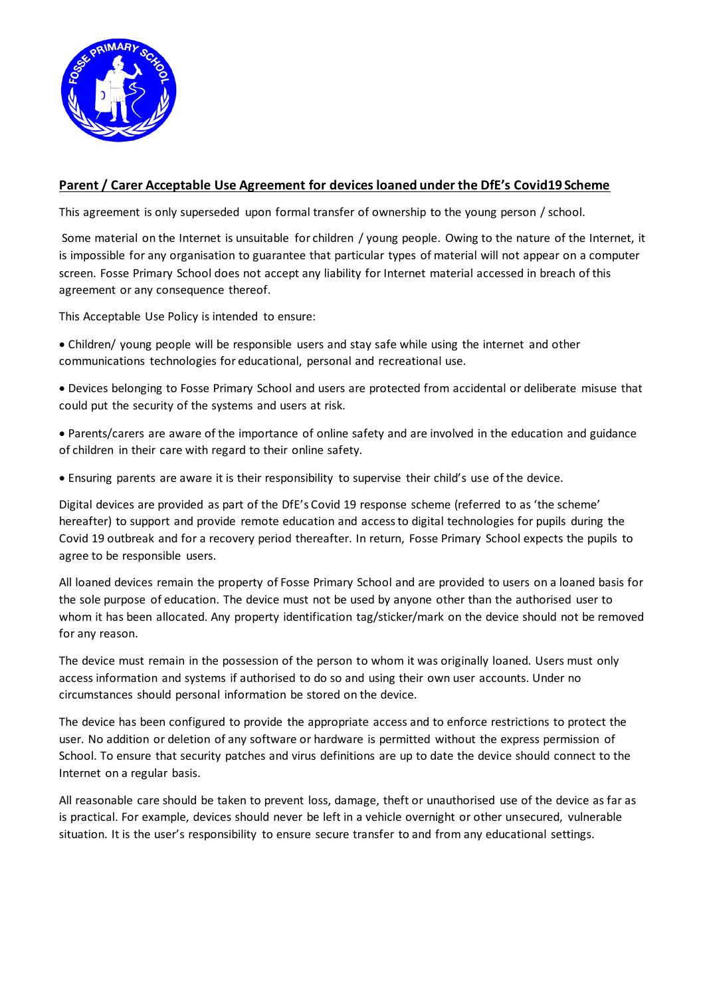

## **Parent / Carer Acceptable Use Agreement for devices loaned under the DfE's Covid19 Scheme**

This agreement is only superseded upon formal transfer of ownership to the young person / school.

Some material on the Internet is unsuitable for children / young people. Owing to the nature of the Internet, it is impossible for any organisation to guarantee that particular types of material will not appear on a computer screen. Fosse Primary School does not accept any liability for Internet material accessed in breach of this agreement or any consequence thereof.

This Acceptable Use Policy is intended to ensure:

• Children/ young people will be responsible users and stay safe while using the internet and other communications technologies for educational, personal and recreational use.

• Devices belonging to Fosse Primary School and users are protected from accidental or deliberate misuse that could put the security of the systems and users at risk.

• Parents/carers are aware of the importance of online safety and are involved in the education and guidance of children in their care with regard to their online safety.

• Ensuring parents are aware it is their responsibility to supervise their child's use of the device.

Digital devices are provided as part of the DfE's Covid 19 response scheme (referred to as 'the scheme' hereafter) to support and provide remote education and access to digital technologies for pupils during the Covid 19 outbreak and for a recovery period thereafter. In return, Fosse Primary School expects the pupils to agree to be responsible users.

All loaned devices remain the property of Fosse Primary School and are provided to users on a loaned basis for the sole purpose of education. The device must not be used by anyone other than the authorised user to whom it has been allocated. Any property identification tag/sticker/mark on the device should not be removed for any reason.

The device must remain in the possession of the person to whom it was originally loaned. Users must only access information and systems if authorised to do so and using their own user accounts. Under no circumstances should personal information be stored on the device.

The device has been configured to provide the appropriate access and to enforce restrictions to protect the user. No addition or deletion of any software or hardware is permitted without the express permission of School. To ensure that security patches and virus definitions are up to date the device should connect to the Internet on a regular basis.

All reasonable care should be taken to prevent loss, damage, theft or unauthorised use of the device as far as is practical. For example, devices should never be left in a vehicle overnight or other unsecured, vulnerable situation. It is the user's responsibility to ensure secure transfer to and from any educational settings.